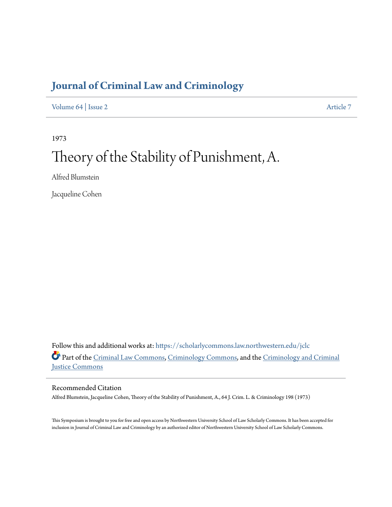## **[Journal of Criminal Law and Criminology](https://scholarlycommons.law.northwestern.edu/jclc?utm_source=scholarlycommons.law.northwestern.edu%2Fjclc%2Fvol64%2Fiss2%2F7&utm_medium=PDF&utm_campaign=PDFCoverPages)**

[Volume 64](https://scholarlycommons.law.northwestern.edu/jclc/vol64?utm_source=scholarlycommons.law.northwestern.edu%2Fjclc%2Fvol64%2Fiss2%2F7&utm_medium=PDF&utm_campaign=PDFCoverPages) | [Issue 2](https://scholarlycommons.law.northwestern.edu/jclc/vol64/iss2?utm_source=scholarlycommons.law.northwestern.edu%2Fjclc%2Fvol64%2Fiss2%2F7&utm_medium=PDF&utm_campaign=PDFCoverPages) [Article 7](https://scholarlycommons.law.northwestern.edu/jclc/vol64/iss2/7?utm_source=scholarlycommons.law.northwestern.edu%2Fjclc%2Fvol64%2Fiss2%2F7&utm_medium=PDF&utm_campaign=PDFCoverPages)

1973

# Theory of the Stability of Punishment, A.

Alfred Blumstein

Jacqueline Cohen

Follow this and additional works at: [https://scholarlycommons.law.northwestern.edu/jclc](https://scholarlycommons.law.northwestern.edu/jclc?utm_source=scholarlycommons.law.northwestern.edu%2Fjclc%2Fvol64%2Fiss2%2F7&utm_medium=PDF&utm_campaign=PDFCoverPages) Part of the [Criminal Law Commons](http://network.bepress.com/hgg/discipline/912?utm_source=scholarlycommons.law.northwestern.edu%2Fjclc%2Fvol64%2Fiss2%2F7&utm_medium=PDF&utm_campaign=PDFCoverPages), [Criminology Commons](http://network.bepress.com/hgg/discipline/417?utm_source=scholarlycommons.law.northwestern.edu%2Fjclc%2Fvol64%2Fiss2%2F7&utm_medium=PDF&utm_campaign=PDFCoverPages), and the [Criminology and Criminal](http://network.bepress.com/hgg/discipline/367?utm_source=scholarlycommons.law.northwestern.edu%2Fjclc%2Fvol64%2Fiss2%2F7&utm_medium=PDF&utm_campaign=PDFCoverPages) [Justice Commons](http://network.bepress.com/hgg/discipline/367?utm_source=scholarlycommons.law.northwestern.edu%2Fjclc%2Fvol64%2Fiss2%2F7&utm_medium=PDF&utm_campaign=PDFCoverPages)

### Recommended Citation

Alfred Blumstein, Jacqueline Cohen, Theory of the Stability of Punishment, A., 64 J. Crim. L. & Criminology 198 (1973)

This Symposium is brought to you for free and open access by Northwestern University School of Law Scholarly Commons. It has been accepted for inclusion in Journal of Criminal Law and Criminology by an authorized editor of Northwestern University School of Law Scholarly Commons.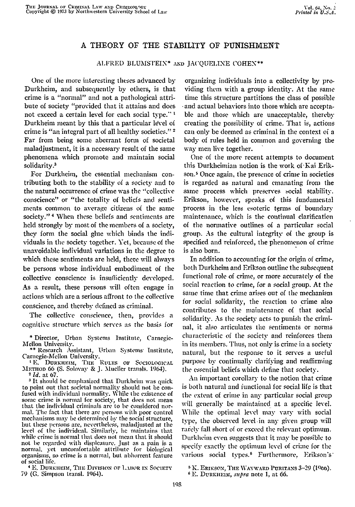#### **A** THEORY OF THE STABILITY OF **PUNISHMENT**

ALFRED BLUMSTEIN\* **AND JACQUElINE** COHEN\*\*

One of the more interesting theses advanced by Durkheim, and subsequently **by** others, is that crime is a "normal" and not a pathological attribute of society "provided that it attains and does not exceed a certain level for each social type." **I** Durkheim meant **by** this that a particular level **of** crime is "an integral part of all healthy societies." 2 Far from being some aberrant form of societal maladjustment, it is a necessary result of the same phenomena which promote and maintain social solidarity.<sup>3</sup>

For Durkheim, the essential mechanism contributing both to the stability of a society and to the natural occurrence of crime was the "collective conscience" or "the totality of beliefs and sentiments common to average citizens of the same society."<sup>4</sup> When these beliefs and sentiments are **held** strongly by most of the members of a society, they form the social glue which binds the individuals in the society together. Yet, because of the unavoidable individual variations in the degree to which these sentiments are held, there will always be persons whose individual embodiment of the collective conscience is insufficiently developed. As a result, these persons will often engage in actions which are a serious affront to the collective conscience, and thereby defined as criminal.

**The** collective conscience, then, provides a cognitive structure which serves as the basis for

**\*** Director, Urban Systems Institute, Carnegie-Mellon University.

**\*\*** Research Assistant, Urban Systems' Institute, Carnegie-Afellon University.

**£ E. DURKHEIM, TiE RULES** OF SOCIOLOGICAL M.THOD **66 (S.** Solovav & J. Mueller transls. 1964). **<sup>2</sup>***Id.* at **07.**

**•** It should be emphasized that Durkheini was quick to point out that societal normality should not be confused with individual normality. While the existence of<br>some crime is normal for society, that does not mean<br>that the individual criminals are to be considered nor-<br>mal. The fact that there are persons with poor control meclanisns may **be** determined **by** the social structure, but these persons are, nevertheless, maladjusted at the level of the individual. Similarly, he maintains that **while** crimc is nornmal that does not mean that it should not be regarded with displeasure. Just as a pain is a normal, **yet** uncomfortable attribute for biological organisms, so crime is a normal, but abhorrent feature of social life.

**I E. DURKHEIM,** TnE DivisIoN **OF** LABOR **IN SOCIETY** 79 **(G.** Simpson transl. 1964).

organizing individuals into a collectivity by providing them with a group identity. At the same time this structure partitions the class of possible and actual behaviors into those which are acceptable and those which are unacceptable, thereby creating the possibility of crime. That is, actions can only be deemed as criminal in the context oi a body of rules held in common and governing the way men live together.

One of the more recent attempts to document this Durkheimian notion is the work of-Kai Erikson.<sup>5</sup> Once again, the presence of crime in societies is regarded as natural and emanating from the same process which preserves social stability. Erikson, however, speaks of this fundamental process in the less esoteric terms of boundary maintenance, which is the continual clarification of the normative outlines of a particular social group. As the cultural integrity of the group is specified and reinforced, the phenomenon of crime is also born.

In addition to accounting for the origin of crime, both Durkheim and Erikson outline the subsequent functional role of crime, or more accurately of the social reaction to crime, for a social group. At the same time that crime arises out of the mechanism for social solidarity, the reaction to crime also contributes to the maintenance of that social solidarity. As the society acts to punish the criminal, it also articulates the sentiments or norms characteristic of the society and reinforces them in its members. Thus, not only is crime in a society natural, but the response to it serves a useful purpose **by** continually clarifying and reaffirming the essential beliefs which define that society.

**An** important corollary to the notion that crime is both natural and functional for social life is that the extent of crime in **any** particular social group will generally be maintained at a specific level. While the optimal **level** may vary with social type, the observed level-in any given group will rarely fall short of or exceed the relevant optimum. Durkheim even suggests that it may **be** possible to specify exactly the optimum level of crime for the various social types.<sup>6</sup> Furthermore, Erikson's

<sup>&</sup>lt;sup>6</sup> K. Erikson, The Wayward Puritans 3–29 (1966).<br><sup>6</sup> E. Durkheim, *supra* note 1, at 66.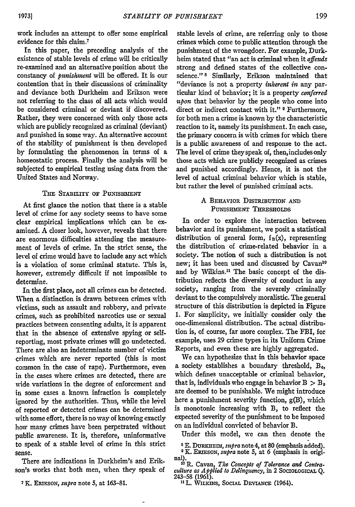work includes an attempt to offer some empirical evidence for this claim.'

In this paper, the preceding analysis of the existence of stable levels of crime will be critically re-examined and an alternative position about the constancy of *punishinent* will be offered. It is our contention that in their discussions of criminality and deviance both Durkheim and Erikson were not referring to the class of all acts which would be considered criminal or deviant if discovered. Rather, they were concerned with only those acts which are publicly recognized as criminal (deviant) and punished in some way. An alternative account of the stability of punishment is then developed by formulating the phenomenon in terms of a homeostatic process. Finally the analysis will be subjected to empirical testing using data from the United States and Norway.

#### THE **STABILITY OF PUNISHMENT**

At first glance the notion that there is a stable level of crime for any society seems to have some clear empirical implications which can be examined. A closer look, however, reveals that there are enormous difficulties attending the measurement of levels of crime. In the strict sense, the level of crime would have to include any act which is a violation of some criminal statute. This is, however, extremely difficult **if** not impossible to determine.

In the first place, not all crimes can be detected. When a distinction is drawn between crimes with victims, such as assault and robbery, and private crimes, such as prohibited narcotics use or sexual practices between consenting adults, it is apparent that in the absence of extensive spying or selfreporting, most private crimes will go undetected. There are also an indeterminate number of victim crimes which are never reported (this is most common in the case of rape). Furthermore, even in the cases where crimes are detected, there are wide variations in the degree of enforcement and in some cases a known infraction is completely ignored by the authorities. Thus, while the level of reported or detected crimes can be determined with some effort, there is no way of knowing exactly how many crimes have been perpetrated without public awareness. It is, therefore, uninformative to speak of a stable level of crime in this strict sense.

There are indications in Durkheim's and Erikson's works that both men, when they speak of

**7** K. EanxsoN, *supra* note 5, at 163-81.

stable levels of crime, are referring only to those crimes which come to public attention through the punishment of the wrongdoer. For example, Durkheim stated that "an act is criminal when it *offends* strong and defined states of the collective conscience." 8 Similarly, Erikson maintained that "deviance is not a property *inherent in.* any particular kind of behavior; it is a property *conferred upon* that behavior by the people who come into direct or indirect contact with it." **9** Furthermore, for both men a crime is known by the characteristic reaction to it, namely its punishment. In each case, the primary concern is with crimes for which there is a public awareness of and response to the act. The level of crime theyspeak of, then, includes only those acts which are publicly recognized as crimes and punished accordingly. Hence, it is not the level of actual criminal behavior which is stable, but rather the level of punished criminal acts.

#### A BEHAVIOR DISTRIBUTION **AND** PuNIsHmENT **THRESHoLDs**

In order to explore the interaction between behavior and its punishment, we posit a statistical distribution of general form,  $f_B(x)$ , representing the distribution of crime-related behavior in a society. The notion of such a distribution is not new; it has been used and discussed by Cavan<sup>10</sup> and by Wilkins.<sup>11</sup> The basic concept of the distribution reflects the diversity of conduct in any society, ranging from the severely criminally deviant to the compulsively moralistic. The general structure of this distribution is depicted in Figure 1. For simplicity, we initially consider only the one-dimensional distribution. The actual distribution is, of course, far more complex. The FBI, for example, uses 29 crime types in its Uniform Crime Reports, and even these are highly aggregated.

We can hypothesize that in this behavior space a society establishes a boundary threshold, *B0,* which defines unacceptable or criminal behavior, that is, individuals who engage in behavior  $B > B_0$ are deemed to be punishable. We might introduce here a punishment severity function, g(B), which is monotonic increasing with B, to reflect the expected severity of the punishment to be imposed on an individual convicted of behavior B.

Under this model, we can then denote the

**<sup>8</sup>**E. **D UEXmH,** *supra* note 4, at 80 (emphasis added). **<sup>9</sup>***K.* EgXISON, *supra* note **5,** at 6 (emphasis in origi- nal).

**<sup>10</sup>** R. Cavan, *The Concepts of Tolerance and Contraculture as Applied to Delinquency,* in 2 **SOCIOLOGICAL** Q. culture as Applied to Delinquency, in 2 Socio*rogical Q.*<br>243–58 (1961).<br><sup>11</sup> L. WILKINS, Social Deviance (1964).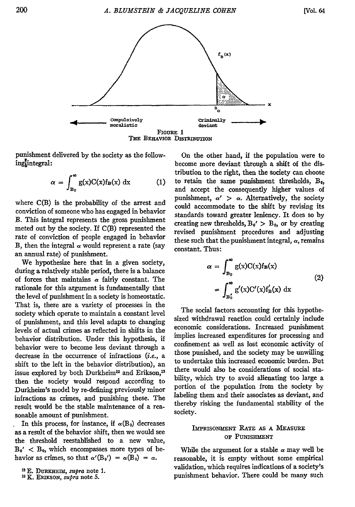

punishment delivered by the society as the followinglintegral:

$$
\alpha = \int_{B_0}^{\infty} g(x) C(x) f_B(x) dx \qquad (1)
$$

where C(B) is the probability of the arrest and conviction of someone who has engaged in behavior B. This integral represents the gross punishment meted out by the society. If C(B) represented the rate of conviction of people engaged in behavior B, then the integral  $\alpha$  would represent a rate (say an annual rate) of punishment.

We hypothesize here that in a given society, during a relatively stable period, there is a balance of forces that maintains  $\alpha$  fairly constant. The rationale for this argument is fundamentally that the level of punishment in a society is homeostatic. That is, there are a variety of processes in the society which operate to maintain a constant level of punishment, and this level adapts to changing levels of actual crimes as reflected in shifts in the behavior distribution. Under this hypothesis, if behavior were to become less deviant through a decrease in the occurrence of infractions (i.e., a shift to the left in the behavior distribution), an issue explored by both Durkheim<sup>12</sup> and Erikson,<sup>13</sup> then the society would respond according to Durkheim's model by re-defining previously minor infractions as crimes, and punishing these. The result would be the stable maintenance of a reasonable amount of punishment.

In this process, for instance, if  $\alpha(B_0)$  decreases as a result of the behavior shift, then we would see the threshold reestablished to a new value,  $B_0' < B_0$ , which encompasses more types of behavior as crimes, so that  $\alpha'(\mathbf{B_0'}) = \alpha(\mathbf{B_0}) = \alpha$ .

On the other hand, if the population were to become more deviant through a shift of the distribution to the right, then the society can choose to retain the same punishment thresholds,  $B_0$ , and accept the consequently higher values of punishment,  $\alpha' > \alpha$ . Alternatively, the society could accommodate to the shift by revising its standards toward greater leniency. It does so by creating new thresholds,  $B_0' > B_0$ , or by creating revised punishment procedures and adjusting these such that the punishment integral,  $\alpha$ , remains constant. Thus:

$$
\alpha = \int_{B_0}^{\infty} g(x) C(x) f_B(x)
$$
  
= 
$$
\int_{B_0}^{\infty} g'(x) C'(x) f'_B(x) dx
$$
 (2)

The social factors accounting for this hypothesized withdrawal reaction could certainly include economic considerations. Increased punishment implies increased expenditures for processing and confinement as well as lost economic activity of those punished, and the society may be unwilling to undertake this increased economic burden. But there would also be considerations of social stability, which try to avoid alienating too large a portion of the population from the society by labeling them and their associates as deviant, and thereby risking the fundamental stability of the society.

#### IMPRISONMENT **RATE AS A MEASURE OF** PUNISMIENT

While the argument for a stable  $\alpha$  may well be reasonable, it is empty without some empirical validation, which requires indications of a society's punishment behavior. There could be many such

<sup>&</sup>lt;sup>12</sup> E. DURKHEIM, *supra* note 1.

<sup>&#</sup>x27;3K. **ER1RBON,** *supra* note **S.**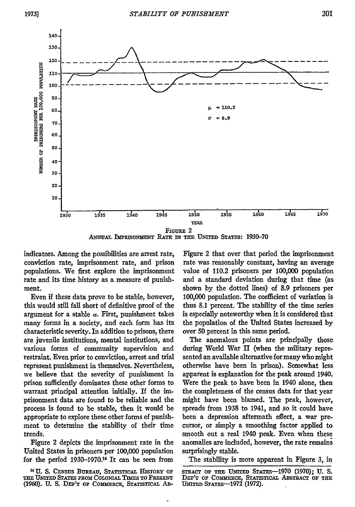

ANNUAL IMPRISONMENT RATE IN THE UNITED STATES: 1930-70

indicators. Among the possibilities are arrest rate, conviction rate, imprisonment rate, and prison populations. We first explore the imprisonment rate and its time history as a measure of punishment.

Even **if** these data prove to be stable, however, this would still fall short of definitive proof of the argument for a stable  $\alpha$ . First, punishment takes many forms in a society, and each form has its characteristic severity. In addition to prisons, there are juvenile institutions, mental institutions, and various forms of community supervision and restraint. Even prior to conviction, arrest and trial represent punishment in themselves. Nevertheless, we believe that the severity of punishment in prison sufficiently dominates these other forms to warrant principal attention initially. If the imprisonment data are found to be reliable and the process is found to be stable, then it would be appropriate to explore these other forms of punishment to determine the stability of their time trends.

Figure 2 depicts the imprisonment rate in the United States in prisoners per 100,000 population for the period 1930-1970.11 It can be seen from

Figure 2 that over that period the imprisonment rate was reasonably constant, having an average value of 110.2 prisoners per 100,000 population and a standard deviation during that time (as shown by the dotted lines) of **8.9** prisoners per 100,000 population. The coefficient of variation is thus 8.1 percent. The stability of the time series is especially noteworthy when it is considered that the population of the United States increased **by** over **50** percent in this same period.

The anomalous points are principally those during World War II (when the military represented an available alternative for many who might otherwise have been in prison). Somewhat less apparent is explanation for the peak around 1940. Were the peak to have been in 1940 alone, then the completeness of the census data for that year might have been blamed. The peak, however, spreads from 1938 to 1941, and so it could have been a depression aftermath effect, a war precursor, or simply a smoothing factor applied to smooth out a real 1940 peak. Even when these anomalies are included, however, the rate remains surprisingly stable.

The stability is more apparent in Figure **3,** in

**<sup>,</sup>U. S. CENSUS BUREAU, STATISTICAL HISTORY OF SUNIrrED** STATES **FROm** COLONIAL TnExs **TO PRESENT** (1960). U. S. DEP'T OF COMMERCE, STATISTICAL AB-

sTRAcT or **THE UNIED STATEs-1970 (1970); U. S. DEPT** or CoMRrcE, STATISTICAL **ABSTRACT** or **TnE UN=TED** STATEs-1972 **(1972).**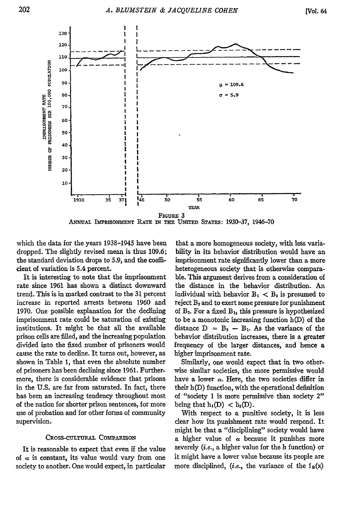

ANNUAL IMPRISONMENT RATE IN THE UNITED STATES: 1930-37, 1946-70

which the data for the years 1938-1945 have been dropped. The slightly revised mean is thus 109.6; the standard deviation drops to 5.9, and the coefficient of variation is 5.4 percent.

It is interesting to note that the imprisonment rate since 1961 has shown a distinct downward trend. This is in marked contrast to the **31** percent increase in reported arrests between 1960 and 1970. One possible explanation for the declining imprisonment rate could be saturation of existing institutions. It might be that all the available prison cells are filled, and the increasing population divided into the fixed number of prisoners would cause the rate to decline. It turns out, however, as shown in Table 1, that even the absolute number of prisoners has been declining since 1961. Furthermore, there is considerable evidence that prisons in the U.S. are far from saturated. In fact, there has been an increasing tendency throughout most of the nation for shorter prison sentences, for more use of probation and for other forms of community supervision.

#### **CROSS-CULTURAL** COMPARISON

It is reasonable to expect that even if the value of  $\alpha$  is constant, its value would vary from one society to another. One would expect, in particular

that a more homogeneous society, with less variability in its behavior distribution would have an imprisonment rate significantly lower than a more heterogeneous society that is otherwise comparable. This argument derives from a consideration of the distance in the behavior distribution. An individual with behavior  $B_1 < B_2$  is presumed to reject  $B_2$  and to exert some pressure for punishment of  $B_2$ . For a fixed  $B_1$ , this pressure is hypothesized to be a monotonic increasing function **h(D)** of the distance  $D = B_2 - B_1$ . As the variance of the behavior distribution increases, there is a greater frequency of the larger distances, and hence a higher imprisonment rate.

Similarly, one would expect that in two otherwise similar societies, the more permissive would have a lower  $\alpha$ . Here, the two societies differ in their **h(D)** function, with the operational definition of "society **1** is more permissive than society 2" being that  $h_1(D) < h_2(D)$ .

With respect to a punitive society, it is less dear how its punishment rate would respond. It might be that a "disciplining" society would have a higher value of  $\alpha$  because it punishes more severely *(i.e.,* a higher value for the h function) or it might have a lower value because its people are more disciplined, (*i.e.*, the variance of the  $f_B(x)$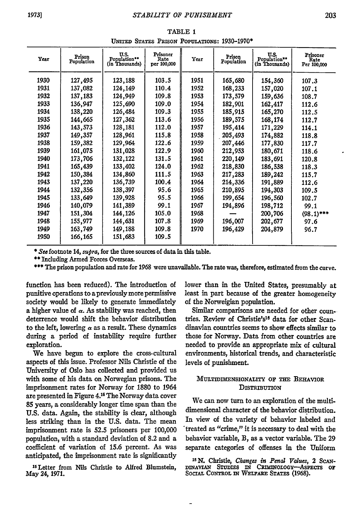#### STABILITY OF PUNISHMENT

| <u> Chillo Cinilo Import Ivechnicho, 1900</u> |                                          |                                               |                                  |                              |                                          |                                          |                                  |
|-----------------------------------------------|------------------------------------------|-----------------------------------------------|----------------------------------|------------------------------|------------------------------------------|------------------------------------------|----------------------------------|
| Year                                          | Prison<br>Population                     | <b>U.S.</b><br>Population**<br>(in Thousands) | Prisoner<br>Rate<br>per 100,000  | Year                         | Prison<br>Population                     | U.S.<br>Population**<br>(in Thousands)   | Prisoner<br>Rate<br>Per 100,000  |
| 1930<br>1931<br>1932<br>1933                  | 127,495<br>137,082<br>137,183<br>136,947 | 123,188<br>124,149<br>124,949<br>125,690      | 103.5<br>110.4<br>109.8<br>109.0 | 1951<br>1952<br>1953<br>1954 | 165,680<br>168,233<br>173,579<br>182,901 | 154,360<br>157,020<br>159,636<br>162,417 | 107.3<br>107.1<br>108.7<br>112.6 |
| 1934<br>1935                                  | 138,220<br>144,665                       | 126,484<br>127,362                            | 109.3<br>113.6                   | 1955<br>1956                 | 185,915<br>189,575                       | 165,270<br>168,174                       | 112.5<br>112.7                   |
| 1936<br>1937                                  | 143,573<br>149,357                       | 128,181<br>128,961                            | 112.0<br>115.8                   | 1957<br>1958                 | 195,414<br>205,493                       | 171,229<br>174,882                       | 114.1<br>118.8                   |
| 1938<br>1939<br>1940                          | 159,382<br>161,075<br>173,706            | 129,964<br>131,028<br>132,122                 | 122.6<br>122.9<br>131.5          | 1959<br>1960<br>1961         | 207,446<br>212,953<br>220,149            | 177,830<br>180,671<br>183,691            | 117.7<br>118.6                   |
| 1941<br>1942                                  | 165,439<br>150,384                       | 133,402<br>134,860                            | 124,0<br>111.5                   | 1962<br>1963                 | 218,830<br>217,283                       | 186,538<br>189,242                       | 120.8<br>118.3<br>115.7          |
| 1943<br>1944                                  | 137,220<br>132,356                       | 136,739<br>138,397                            | 100.4<br>95.6                    | 1964<br>1965                 | 214,336<br>210,895                       | 191,889<br>194,303                       | 112.6<br>109.5                   |
| 1945<br>1946                                  | 133,649<br>140,079                       | 139,928<br>141,389                            | 95.5<br>99.1                     | 1966<br>1967                 | 199,654<br>194,896                       | 196,560<br>198,712                       | 102.7<br>99.1                    |
| 1947<br>1948<br>1949                          | 151,304<br>155,977<br>163,749            | 144,126<br>144,631<br>149,188                 | 105.0<br>107.8<br>109.8          | 1968<br>1969<br>1970         | 196,007<br>196,429                       | 200,706<br>202,677<br>204,879            | $(98.1)***$<br>97.6<br>96.7      |
| 1950                                          | 166,165                                  | 151,683                                       | 109.5                            |                              |                                          |                                          |                                  |

TABLE 1 **HUITED STATES PRISON POPIILATIONS: 1030-1070\*** 

\* See footnote 14, supra, for the three sources of data in this table.

\*\* Including Armed Forces Overseas.

\*\*\* The prison population and rate for 1968 were unavailable. The rate was, therefore, estimated from the curve.

function has been reduced). The introduction of punitive operations to a previously more permissive society would be likely to generate immediately a higher value of  $\alpha$ . As stability was reached, then deterrence would shift the behavior distribution to the left, lowering  $\alpha$  as a result. These dynamics during a period of instability require further exploration.

We have begun to explore the cross-cultural aspects of this issue. Professor Nils Christie of the University of Oslo has collected and provided us with some of his data on Norwegian prisons. The imprisonment rates for Norway for 1880 to 1964 are presented in Figure 4.<sup>15</sup> The Norway data cover 85 years, a considerably longer time span than the U.S. data. Again, the stability is clear, although less striking than in the U.S. data. The mean imprisonment rate is 52.5 prisoners per 100,000 population, with a standard deviation of 8.2 and a coefficient of variation of 15.6 percent. As was anticipated, the imprisonment rate is significantly

<sup>15</sup> Letter from Nils Christie to Alfred Blumstein, May 24, 1971.

lower than in the United States, presumably at least in part because of the greater homogeneity of the Norweigian population.

Similar comparisons are needed for other countries. Review of Christie's<sup>16</sup> data for other Scandinavian countries seems to show effects similar to those for Norway. Data from other countries are needed to provide an appropriate mix of cultural environments, historical trends, and characteristic levels of punishment.

#### MULTIDIMENSIONALITY OF THE BEHAVIOR **DISTRIBUTION**

We can now turn to an exploration of the multidimensional character of the behavior distribution. In view of the variety of behavior labeled and treated as "crime," it is necessary to deal with the behavior variable, B, as a vector variable. The 29 separate categories of offenses in the Uniform

<sup>16</sup> N. Christie, Changes in Penal Values, 2 SCAN-DINAVIAN STUDIES IN CRIMINOLOGY-ASPECTS OF SOCIAL CONTROL IN WELFARE STATES (1968).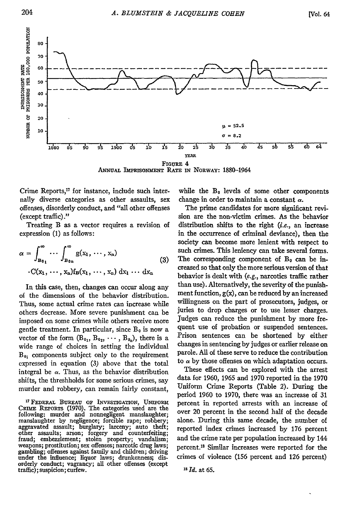

Crime Reports,<sup>17</sup> for instance, include such internally diverse categories as other assaults, sex offenses, disorderly conduct, and "all other offenses (except traffic)."

Treating B as a vector requires a revision of expression (1) as follows:

$$
\alpha = \int_{B_{0_1}}^{\infty} \cdots \int_{B_{0_n}}^{\infty} g(x_1, \cdots, x_n)
$$
  
 
$$
\cdot C(x_1, \cdots, x_n) f_B(x_1, \cdots, x_n) dx_1 \cdots dx_n
$$
 (3)

In this case, then, changes can occur along any of the dimensions of the behavior distribution. Thus, some actual crime rates can increase while others decrease. More severe punishment can be imposed on some crimes while others receive more gentle treatment. In particular, since B<sub>0</sub> is now a vector of the form  $(B_{0_1}, B_{0_2}, \cdots, B_{0_n})$ , there is a wide range of choices in setting the individual  $B_{0i}$  components subject only to the requirement expressed in equation (3) above that the total integral be  $\alpha$ . Thus, as the behavior distribution shifts, the threshholds for some serious crimes, say murder and robbery, can remain fairly constant,

<sup>17</sup> FEDERAL BUREAU OF INVESTIGATION, UNIFORM CRIME REPORTS (1970). The categories used are the following: murder and nonnegligent manslaughter; manslaughter by negligence; forcible rape; robbery; aggravated assault; burglary; larceny; auto theft; other assaults; arson; forgery and counterfeiting;<br>fraud; embezzlement; stolen property; vandalism; weapons; prostitution; sex offenses; narcotic drug laws; gambling; offenses against family and children; driving under the influence; liquor laws; drunkenness; disorderly conduct; vagrancy; all other offenses (except traffic); suspicion; curfew.

while the  $B_0$  levels of some other components change in order to maintain a constant  $\alpha$ .

The prime candidates for more significant revision are the non-victim crimes. As the behavior distribution shifts to the right (i.e., an increase in the occurrence of criminal deviance), then the society can become more lenient with respect to such crimes. This leniency can take several forms. The corresponding component of  $B_0$  can be increased so that only the more serious version of that behavior is dealt with (e.g., narcotics traffic rather than use). Alternatively, the severity of the punishment function,  $g(x)$ , can be reduced by an increased willingness on the part of prosecutors, judges, or juries to drop charges or to use lesser charges. Judges can reduce the punishment by more frequent use of probation or suspended sentences. Prison sentences can be shortened by either changes in sentencing by judges or earlier release on parole. All of these serve to reduce the contribution to  $\alpha$  by those offenses on which adaptation occurs.

These effects can be explored with the arrest data for 1960, 1965 and 1970 reported in the 1970 Uniform Crime Reports (Table 2). During the period 1960 to 1970, there was an increase of 31 percent in reported arrests with an increase of over 20 percent in the second half of the decade alone. During this same decade, the number of reported index crimes increased by 176 percent and the crime rate per population increased by 144 percent.<sup>18</sup> Similar increases were reported for the crimes of violence (156 percent and 126 percent)

$$
^{18} \, \text{Id. at 65.}
$$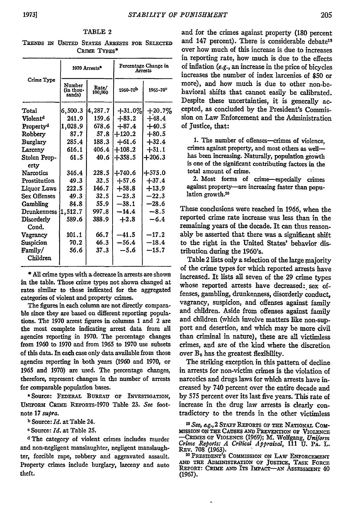|                       |                               | 1970 Arrests <sup>a</sup> | Percentage Change in<br>Arrests |           |  |
|-----------------------|-------------------------------|---------------------------|---------------------------------|-----------|--|
| Crime Type            | Number<br>(in thou-<br>sands) | Rate/<br>100.000          | 1960-70 <sup>b</sup>            | 1965-70°  |  |
| Total                 | 6,500.3                       | 4,287.7                   | $+31.0%$                        | $+20.7\%$ |  |
| Violent <sup>d</sup>  | 241.9                         | 159.6                     | $+83.2$                         | $+48.4$   |  |
| Property <sup>d</sup> | 1,028.9                       | 678.6                     | $+87.4$                         | $+40.5$   |  |
| Robbery               | 87.7                          | 57.8                      | $+120.2$                        | $+80.5$   |  |
| Burglary              | 285.4                         | 188.3                     | $+61.6$                         | $+32.4$   |  |
| Larcenv               | 616.1                         | 406.4                     | $+108.2$                        | $+51.1$   |  |
| Stolen Prop-          | 61.5                          | 40.6                      | $+358.5$                        | $+206.3$  |  |
| erty                  |                               |                           |                                 |           |  |
| Narcotics             | 346.4                         | 228.5                     | $+740.6$                        | $+575.0$  |  |
| Prostitution          | 49.3                          | 32.5                      | $+57.6$                         | $+37.4$   |  |
| Liquor Laws           | 222.5                         | 146.7                     | $+58.8$                         | $+13.9$   |  |
| Sex Offenses          | 49.3                          | 32.5                      | $-23.3$                         | $-22.3$   |  |
| Gambling              | 84.8                          | 55.9                      | $-38.1$                         | $-28.6$   |  |
| Drunkenness           | 1,512.7                       | 997.8                     | $-14.4$                         | $-8.5$    |  |
| Disorderly<br>Cond.   | 589.6                         | 388.9                     | $+2.8$                          | $-6.4$    |  |
| Vagrancy              | 101.1                         | 66.7                      | -- 41.5                         | $-17.2$   |  |
| Suspicion             | 70.2                          | 46.3                      | $-56.4$                         | $-18.4$   |  |
| Family/<br>Children   | 56.6                          | 37.3                      | $-5.6$                          | $-15.7$   |  |
|                       |                               |                           |                                 |           |  |

TRENDS IN UNITED STATES ARRESTS FOR SELECTED CRIME TYPES\*

\* All crime types with a decrease in arrests are shown in the table. Those crime types not shown changed at rates similar to those indicated for the aggregated categories of violent and property crimes.

The figures in each column are not directly comparable since they are based on different reporting populations. The 1970 arrest figures in columns 1 and 2 are the most complete indicating arrest data from all agencies reporting in 1970. The percentage changes from 1960 to 1970 and from 1965 to 1970 use subsets of this data. In each case only data available from those agencies reporting in both years (1960 and 1970, or 1965 and 1970) are used. The percentage changes, therefore, represent changes in the number of arrests for comparable population bases.

<sup>s</sup> Source: FEDERAL BUREAU OF INVESTIGATION, UNIFORM CRIME REPORTS-1970 Table 23. See footnote 17 supra.

 $b$  Source: Id. at Table 24.

<sup>c</sup> Source: *Id.* at Table 25.

<sup>d</sup> The category of violent crimes includes murder and non-negligent manslaughter, negligent manslaughter, forcible rape, robbery and aggravated assault. Property crimes include burglary, larceny and auto theft.

and for the crimes against property (180 percent and 147 percent). There is considerable debate<sup>19</sup> over how much of this increase is due to increases in reporting rate, how much is due to the effects of inflation (e.g., an increase in the price of bicycles increases the number of index larcenies of \$50 or more), and how much is due to other non-hehavioral shifts that cannot easily be calibrated. Despite these uncertainties, it is generally accepted, as concluded by the President's Commission on Law Enforcement and the Administration of Justice, that:

1. The number of offenses—crimes of violence, crimes against property, and most others as wellhas been increasing. Naturally, population growth is one of the significant contributing factors in the total amount of crime.

2. Most forms of crime-especially crimes against property-are increasing faster than population growth.<sup>20</sup>

These conclusions were reached in 1966, when the reported crime rate increase was less than in the remaining years of the decade. It can thus reasonably be asserted that there was a significant shift to the right in the United States' behavior distribution during the 1960's.

Table 2 lists only a selection of the large majority of the crime types for which reported arrests have increased. It lists all seven of the 29 crime types whose reported arrests have decreased: sex offenses, gambling, drunkenness, disorderly conduct, vagrancy, suspicion, and offenses against family and children. Aside from offenses against family and children (which involve matters like non-support and desertion, and which may be more civil than criminal in nature), these are all victimless crimes, and are of the kind where the discretion over B<sub>0</sub> has the greatest flexibility.

The striking exception in this pattern of decline in arrests for non-victim crimes is the violation of narcotics and drugs laws for which arrests have increased by 740 percent over the entire decade and by 575 percent over its last five years. This rate of increase in the drug law arrests is clearly contradictory to the trends in the other victimless

<sup>20</sup> PRESIDENT'S COMMISSION ON LAW ENFORCEMENT AND THE ADMINISTRATION OF JUSTICE, TASK FORCE<br>REPORT: CRIME AND ITS IMPACT-AN ASSESSMENT 40  $(1967).$ 

<sup>&</sup>lt;sup>19</sup> See, e.g., 2 STAFF REPORTS OF THE NATIONAL COM-MISSION ON THE CAUSES AND PREVENTION OF VIOLENCE -CRIMES OF VIOLENCE (1969); M. Wolfgang, Uniform<br>Crime Reports: A Critical Appraisal, 111 U. PA. L.<br>REV. 708 (1963).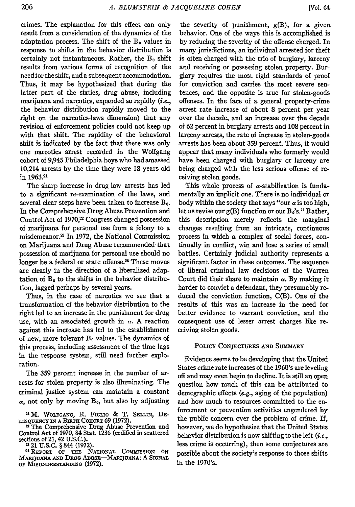crimes. The explanation for this effect can only result from a consideration of the dynamics of the adaptation process. The shift of the **Bo** values in response to shifts in the behavior distribution is certainly not instantaneous. Rather, the  $B_0$  shift results from various forms of recognition of the need for the shift, and a subsequent accommodation. Thus, it may be hypothesized that during the latter part of the sixties, drug abuse, including marijuana and narcotics, expanded so rapidly *(i.e.,* the behavior distribution rapidly moved to the right on the narcotics-laws dimension) that any revision of enforcement policies could not keep up with that shift. The rapidity of the behavioral shift is indicated by the fact that there was only one narcotics arrest recorded in the Wolfgang cohort of 9,945 Philadelphia boys who had amassed 10,214 arrests by the time they were 18 years old in 1963.<sup>21</sup>

The sharp increase in drug law arrests has led to a significant re-examination of the laws, and several clear steps have been taken to increase  $B_0$ . In the Comprehensive Drug Abuse Prevention and Control Act of 1970,<sup>22</sup> Congress changed possession of marijuana for personal use from a felony to a misdemeanor.<sup>23</sup> In 1972, the National Commission on Marijuana and Drug Abuse recommended-that possession of marijuana for personal use should no longer be a federal or state offense.<sup>24</sup> These moves are clearly in the direction of a liberalized adaptation of  $B_0$  to the shifts in the behavior distribution, lagged perhaps by several years.

Thus, in the case of narcotics we see that a transformation of the behavior distribution to the right led to an increase in the punishment for drug use, with an associated growth in  $\alpha$ . A reaction against this increase has led to the establishment of new, more tolerant  $B_0$  values. The dynamics of this process, including assessment of the time lags in the response system, still need further exploration.

The **359** percent increase in the number of arrests for stolen property is also illuminating. The criminal justice system can maintain a constant  $\alpha$ , not only by moving  $B_0$ , but also by adjusting

**MARIJUANA AND DRUG** ABUSE-MARIJUANA: A **SIGNAL** o MISUNDERSTANDING **(1972).**

the severity of punishment, g(B), for a given behavior. One of the ways this is accomplished is by reducing the severity of the offense charged. In many jurisdictions, an individual arrested for theft is often charged with the trio of burglary, larceny and receiving or possessing stolen property. Burglary requires the most rigid standards of proof for conviction and carries the most severe sentences, and the opposite is true for stolen-goods offenses. In the face of a general property-crime arrest rate increase of about 8 percent per year over the decade, and an increase over the decade of 62 percent in burglary arrests and 108 percent in larceny arrests, the rate of increase in stolen-goods arrests has been about **359** percent. Thus, it would appear that many individuals who formerly would have been charged with burglary or larceny are being charged with the less serious offense of receiving stolen goods.

This whole process of  $\alpha$ -stabilization is fundamentally an implicit one. There is no individual or body within the society that says "our  $\alpha$  is too high, let us revise our  $g(B)$  function or our  $B_0$ 's." Rather, this description merely reflects the marginal changes resulting from an intricate, continuous process in which a complex of social forces, continually in conflict, win and lose a series of small battles. Certainly judicial authority represents a significant factor in these outcomes. The sequence of liberal criminal law decisions of the Warren Court did their share to maintain  $\alpha$ . By making it harder to convict a defendant, they presumably reduced the conviction function, C(B). One of the results of this was an increase in the need for better evidence to warrant conviction, and the consequent use of lesser arrest charges like receiving stolen goods.

#### POLIcY CONJECrURES **AND SUMMARY**

Evidence seems to be developing that the United States crime rate increases of the 1960's are leveling off and may even begin to decline. It is still an open question how much of this can be attributed to demographic effects (e.g., aging of the population) and how much to resources committed to the enforcement or prevention activities engendered by the public concern over the problem of crime. If, however, we do hypothesize that the United States behavior distribution is now shifting to the left  $(i.e.,$ less crime is occurring), then some conjectures are possible about the society's response to those shifts in the 1970's.

<sup>21</sup> M. WoiLGANG, R. FIGLIo & T. SELLIN, **DE-**LINQUENCY IN A BIRTH COHORT 69 (1972).

<sup>=</sup>The Comprehensive Drug Abuse Prevention and Control Act of 1970, 84 Stat. **1236** (codified in scattered sections of 21, 42 U.S.C.). ' 21 **U.S.C.** § 844 **(1972).** 24 **REPORT** OF? **THE NATIONAL** COMMISSION **ON**